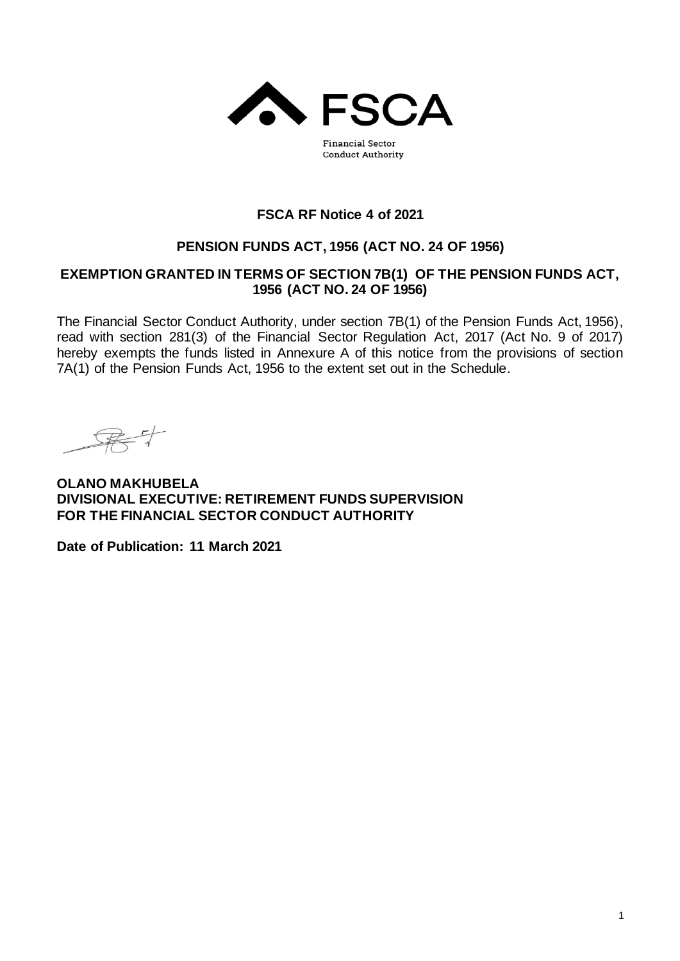

**Financial Sector Conduct Authority** 

## **FSCA RF Notice 4 of 2021**

# **PENSION FUNDS ACT, 1956 (ACT NO. 24 OF 1956)**

## **EXEMPTION GRANTED IN TERMS OF SECTION 7B(1) OF THE PENSION FUNDS ACT, 1956 (ACT NO. 24 OF 1956)**

The Financial Sector Conduct Authority, under section 7B(1) of the Pension Funds Act, 1956), read with section 281(3) of the Financial Sector Regulation Act, 2017 (Act No. 9 of 2017) hereby exempts the funds listed in Annexure A of this notice from the provisions of section 7A(1) of the Pension Funds Act, 1956 to the extent set out in the Schedule.

**OLANO MAKHUBELA DIVISIONAL EXECUTIVE: RETIREMENT FUNDS SUPERVISION FOR THE FINANCIAL SECTOR CONDUCT AUTHORITY**

**Date of Publication: 11 March 2021**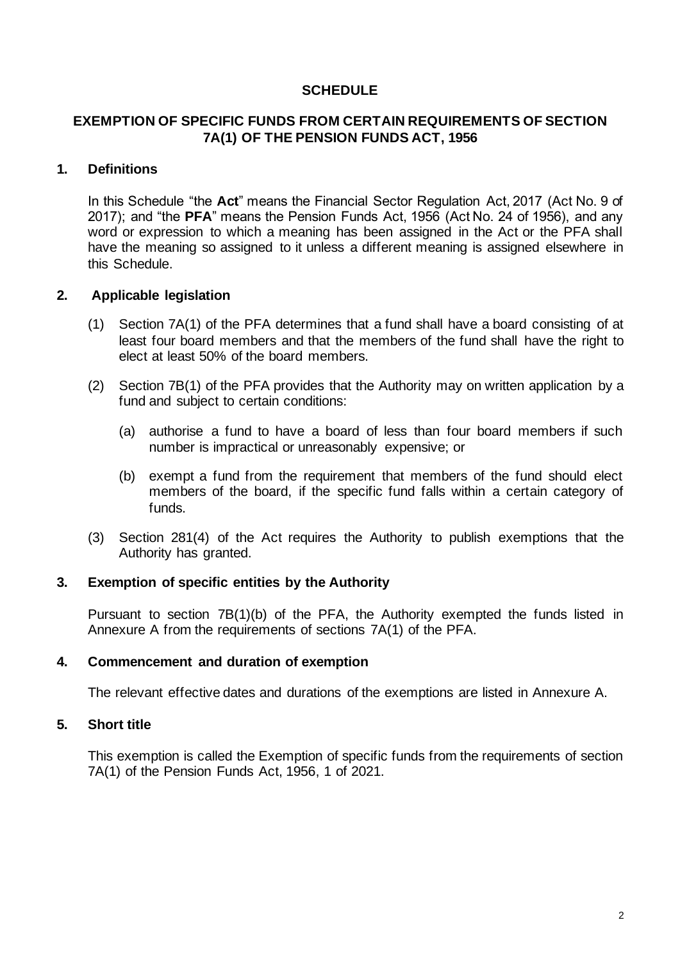### **SCHEDULE**

## **EXEMPTION OF SPECIFIC FUNDS FROM CERTAIN REQUIREMENTS OF SECTION 7A(1) OF THE PENSION FUNDS ACT, 1956**

### **1. Definitions**

In this Schedule "the **Act**" means the Financial Sector Regulation Act, 2017 (Act No. 9 of 2017); and "the **PFA**" means the Pension Funds Act, 1956 (Act No. 24 of 1956), and any word or expression to which a meaning has been assigned in the Act or the PFA shall have the meaning so assigned to it unless a different meaning is assigned elsewhere in this Schedule.

### **2. Applicable legislation**

- (1) Section 7A(1) of the PFA determines that a fund shall have a board consisting of at least four board members and that the members of the fund shall have the right to elect at least 50% of the board members.
- (2) Section 7B(1) of the PFA provides that the Authority may on written application by a fund and subject to certain conditions:
	- (a) authorise a fund to have a board of less than four board members if such number is impractical or unreasonably expensive; or
	- (b) exempt a fund from the requirement that members of the fund should elect members of the board, if the specific fund falls within a certain category of funds.
- (3) Section 281(4) of the Act requires the Authority to publish exemptions that the Authority has granted.

#### **3. Exemption of specific entities by the Authority**

Pursuant to section 7B(1)(b) of the PFA, the Authority exempted the funds listed in Annexure A from the requirements of sections 7A(1) of the PFA.

#### **4. Commencement and duration of exemption**

The relevant effective dates and durations of the exemptions are listed in Annexure A.

#### **5. Short title**

This exemption is called the Exemption of specific funds from the requirements of section 7A(1) of the Pension Funds Act, 1956, 1 of 2021.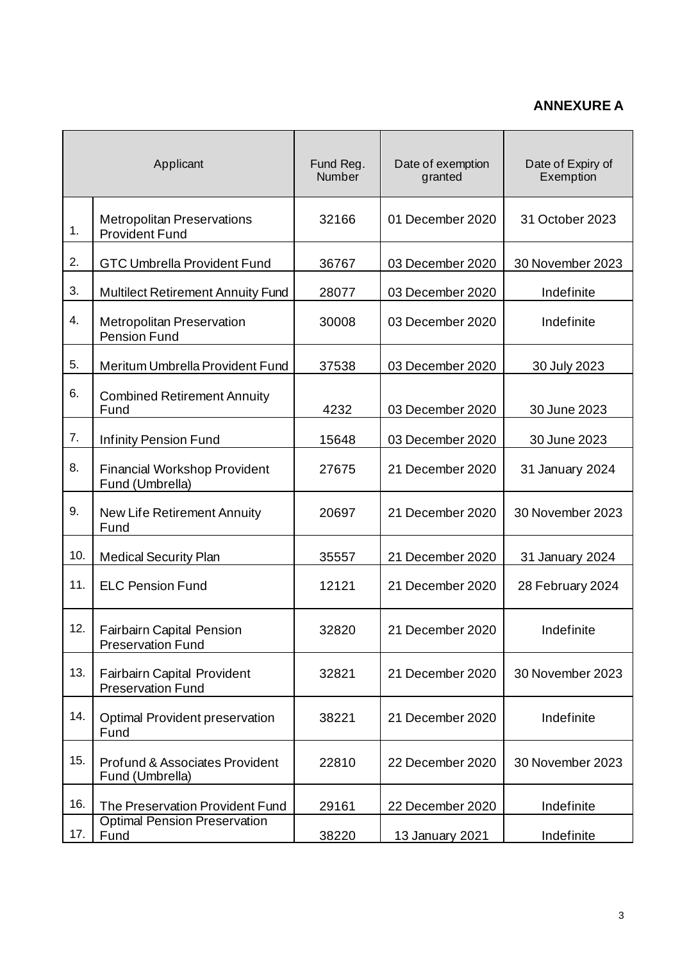# **ANNEXURE A**

| Applicant |                                                                        | Fund Reg.<br>Number | Date of exemption<br>granted | Date of Expiry of<br>Exemption |
|-----------|------------------------------------------------------------------------|---------------------|------------------------------|--------------------------------|
| 1.        | <b>Metropolitan Preservations</b><br><b>Provident Fund</b>             | 32166               | 01 December 2020             | 31 October 2023                |
| 2.        | <b>GTC Umbrella Provident Fund</b>                                     | 36767               | 03 December 2020             | 30 November 2023               |
| 3.        | <b>Multilect Retirement Annuity Fund</b>                               | 28077               | 03 December 2020             | Indefinite                     |
| 4.        | <b>Metropolitan Preservation</b><br><b>Pension Fund</b>                | 30008               | 03 December 2020             | Indefinite                     |
| 5.        | Meritum Umbrella Provident Fund                                        | 37538               | 03 December 2020             | 30 July 2023                   |
| 6.        | <b>Combined Retirement Annuity</b><br>Fund                             | 4232                | 03 December 2020             | 30 June 2023                   |
| 7.        | <b>Infinity Pension Fund</b>                                           | 15648               | 03 December 2020             | 30 June 2023                   |
| 8.        | <b>Financial Workshop Provident</b><br>Fund (Umbrella)                 | 27675               | 21 December 2020             | 31 January 2024                |
| 9.        | New Life Retirement Annuity<br>Fund                                    | 20697               | 21 December 2020             | 30 November 2023               |
| 10.       | <b>Medical Security Plan</b>                                           | 35557               | 21 December 2020             | 31 January 2024                |
| 11.       | <b>ELC Pension Fund</b>                                                | 12121               | 21 December 2020             | 28 February 2024               |
| 12.       | <b>Fairbairn Capital Pension</b><br><b>Preservation Fund</b>           | 32820               | 21 December 2020             | Indefinite                     |
| 13.       | <b>Fairbairn Capital Provident</b><br><b>Preservation Fund</b>         | 32821               | 21 December 2020             | 30 November 2023               |
| 14.       | Optimal Provident preservation<br>Fund                                 | 38221               | 21 December 2020             | Indefinite                     |
| 15.       | Profund & Associates Provident<br>Fund (Umbrella)                      | 22810               | 22 December 2020             | 30 November 2023               |
| 16.       | The Preservation Provident Fund<br><b>Optimal Pension Preservation</b> | 29161               | 22 December 2020             | Indefinite                     |
| 17.       | Fund                                                                   | 38220               | <u>13 January 2021</u>       | Indefinite                     |